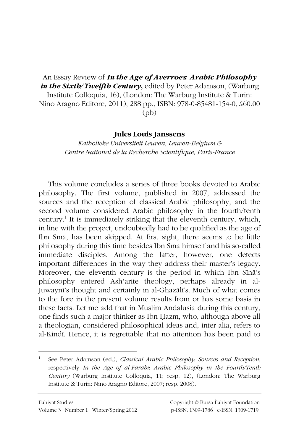An Essay Review of *In the Age of Averroes: Arabic Philosophy in the Sixth/Twelfth Century*, edited by Peter Adamson, (Warburg Institute Colloquia, 16), (London: The Warburg Institute & Turin: Nino Aragno Editore, 2011), 288 pp., ISBN: 978-0-85481-154-0, £60.00 (pb)

## **Jules Louis Janssens**

*Katholieke Universiteit Leuven, Leuven-Belgium & Centre National de la Recherche Scientifique, Paris-France* 

This volume concludes a series of three books devoted to Arabic philosophy. The first volume, published in 2007, addressed the sources and the reception of classical Arabic philosophy, and the second volume considered Arabic philosophy in the fourth/tenth century.<sup>1</sup> It is immediately striking that the eleventh century, which, in line with the project, undoubtedly had to be qualified as the age of Ibn Sīnā, has been skipped. At first sight, there seems to be little philosophy during this time besides Ibn Sīnā himself and his so-called immediate disciples. Among the latter, however, one detects important differences in the way they address their master's legacy. Moreover, the eleventh century is the period in which Ibn Sina's philosophy entered Ash<sup>c</sup>arite theology, perhaps already in al-Juwaynī's thought and certainly in al-Ghazālī's. Much of what comes to the fore in the present volume results from or has some basis in these facts. Let me add that in Muslim Andalusia during this century, one finds such a major thinker as Ibn Hazm, who, although above all a theologian, considered philosophical ideas and, inter alia, refers to al-Kindī. Hence, it is regrettable that no attention has been paid to

 $\overline{a}$ 

<sup>1</sup> See Peter Adamson (ed.), *Classical Arabic Philosophy*: *Sources and Reception*, respectively *In the Age of al-Fārābī: Arabic Philosophy in the Fourth/Tenth Century* (Warburg Institute Colloquia, 11; resp. 12), (London: The Warburg Institute & Turin: Nino Aragno Editore, 2007; resp. 2008).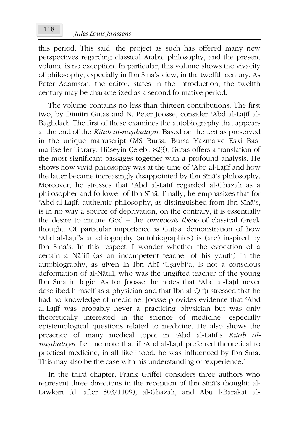this period. This said, the project as such has offered many new perspectives regarding classical Arabic philosophy, and the present volume is no exception. In particular, this volume shows the vivacity of philosophy, especially in Ibn Sīnā's view, in the twelfth century. As Peter Adamson, the editor, states in the introduction, the twelfth century may be characterized as a second formative period.

The volume contains no less than thirteen contributions. The first two, by Dimitri Gutas and N. Peter Joosse, consider 'Abd al-Latif al-Baghdādī. The first of these examines the autobiography that appears at the end of the *Kitāb al-nasībatayn*. Based on the text as preserved in the unique manuscript (MS Bursa, Bursa Yazma ve Eski Basma Eserler Library, Hüseyin Çelebi, 823), Gutas offers a translation of the most significant passages together with a profound analysis. He shows how vivid philosophy was at the time of 'Abd al-Latif and how the latter became increasingly disappointed by Ibn Sina's philosophy. Moreover, he stresses that 'Abd al-Latīf regarded al-Ghazālī as a philosopher and follower of Ibn Sīnā. Finally, he emphasizes that for 'Abd al-Laṭīf, authentic philosophy, as distinguished from Ibn Sīnā's, is in no way a source of deprivation; on the contrary, it is essentially the desire to imitate God – the *omoioosis théoo* of classical Greek thought. Of particular importance is Gutas' demonstration of how 'Abd al-Latif's autobiography (autobiographies) is (are) inspired by Ibn Sīnā's. In this respect, I wonder whether the evocation of a certain al-Nā'ilī (as an incompetent teacher of his youth) in the autobiography, as given in Ibn Abī 'Uşaybi'a, is not a conscious deformation of al-Nātilī, who was the ungifted teacher of the young Ibn Sīnā in logic. As for Joosse, he notes that 'Abd al-Laṭīf never described himself as a physician and that Ibn al-Qifti stressed that he had no knowledge of medicine. Joosse provides evidence that 'Abd al-Laṭīf was probably never a practicing physician but was only theoretically interested in the science of medicine, especially epistemological questions related to medicine. He also shows the presence of many medical topoi in 'Abd al-Laṭīf's *Kitāb alnaşībatayn*. Let me note that if 'Abd al-Latīf preferred theoretical to practical medicine, in all likelihood, he was influenced by Ibn Sīnā. This may also be the case with his understanding of 'experience.'

In the third chapter, Frank Griffel considers three authors who represent three directions in the reception of Ibn Sīnā's thought: al-Lawkarī (d. after 503/1109), al-Ghazālī, and Abū l-Barakāt al-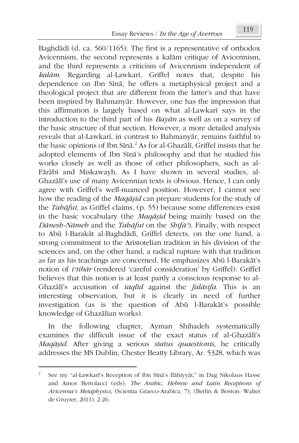Baghdādī (d. ca. 560/1165). The first is a representative of orthodox Avicennism, the second represents a kalām critique of Avicennism, and the third represents a criticism of Avicennism independent of *kalām*. Regarding al-Lawkarī, Griffel notes that, despite his dependence on Ibn Sīnā, he offers a metaphysical project and a theological project that are different from the latter's and that have been inspired by Bahmanyār. However, one has the impression that this affirmation is largely based on what al-Lawkarī says in the introduction to the third part of his *BayÃn* as well as on a survey of the basic structure of that section. However, a more detailed analysis reveals that al-Lawkarī, in contrast to Bahmanyār, remains faithful to the basic opinions of Ibn Sīnā.<sup>2</sup> As for al-Ghazālī, Griffel insists that he adopted elements of Ibn Sīnā's philosophy and that he studied his works closely as well as those of other philosophers, such as al- Fārābī and Miskawayh. As I have shown in several studies, al-Ghazālī's use of many Avicennian texts is obvious. Hence, I can only agree with Griffel's well-nuanced position. However, I cannot see how the reading of the *Maq* $\bar{a}$ *sid* can prepare students for the study of the *TahÃfut*, as Griffel claims, (p. 55) because some differences exist in the basic vocabulary (the *Maq* $\bar{a}$ *sid* being mainly based on the *'Ãnesh-NÃmeh* and the *TahÃfut* on the *ShifÃý*). Finally, with respect to Abū l-Barakāt al-Baghdādī, Griffel detects, on the one hand, a strong commitment to the Aristotelian tradition in his division of the sciences and, on the other hand, a radical rupture with that tradition as far as his teachings are concerned. He emphasizes Abū l-Barakāt's notion of *i'tibār* (rendered 'careful consideration' by Griffel). Griffel believes that this notion is at least partly a conscious response to al-Ghazālī's accusation of *taqlīd* against the *falāsifa*. This is an interesting observation, but it is clearly in need of further investigation (as is the question of Abá l-BarakÃt's possible knowledge of Ghazālian works).

In the following chapter, Ayman Shihadeh systematically examines the difficult issue of the exact status of al-Ghazālī's *MaqÃĮid*. After giving a serious *status quaestionis*, he critically addresses the MS Dublin, Chester Beatty Library, Ar. 5328, which was

1

<sup>2</sup> See my "al-Lawkarī's Reception of Ibn Sīnā's Ilāhiyyāt," in Dag Nikolaus Hasse and Amos Bertolacci (eds), *The Arabic*, *Hebrew and Latin Receptions of Avicenna's Metaphysics*, (Scientia Graeco-Arabica, 7), (Berlin & Boston: Walter de Gruyter, 2011), 2-26.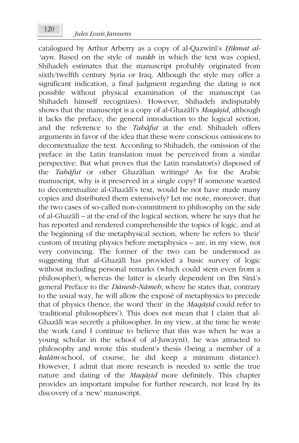catalogued by Arthur Arberry as a copy of al-Qazwīnī's *Hikmat alþayn*. Based on the style of *naskh* in which the text was copied, Shihadeh estimates that the manuscript probably originated from sixth/twelfth century Syria or Iraq. Although the style may offer a significant indication, a final judgment regarding the dating is not possible without physical examination of the manuscript (as Shihadeh himself recognizes). However, Shihadeh indisputably shows that the manuscript is a copy of al-Ghazālī's *Maqāşid*, although it lacks the preface, the general introduction to the logical section, and the reference to the *TahÃfut* at the end. Shihadeh offers arguments in favor of the idea that these were conscious omissions to decontextualize the text. According to Shihadeh, the omission of the preface in the Latin translation must be perceived from a similar perspective. But what proves that the Latin translator(s) disposed of the *TahÃfut* or other GhazÃlian writings? As for the Arabic manuscript, why is it preserved in a single copy? If someone wanted to decontextualize al-Ghazālī's text, would he not have made many copies and distributed them extensively? Let me note, moreover, that the two cases of so-called non-commitment to philosophy on the side of al-Ghazā $\overline{a}$  – at the end of the logical section, where he says that he has reported and rendered comprehensible the topics of logic, and at the beginning of the metaphysical section, where he refers to 'their' custom of treating physics before metaphysics – are, in my view, not very convincing. The former of the two can be understood as suggesting that al-Ghazālī has provided a basic survey of logic without including personal remarks (which could stem even from a philosopher), whereas the latter is clearly dependent on Ibn Sīnā's general Preface to the *Dānesh-Nāmeh*, where he states that, contrary to the usual way, he will allow the exposé of metaphysics to precede that of physics (hence, the word 'their' in the *MaqÃĮid* could refer to 'traditional philosophers'). This does not mean that I claim that al-Ghazālī was secretly a philosopher. In my view, at the time he wrote the work (and I continue to believe that this was when he was a young scholar in the school of al-Juwaynī), he was attracted to philosophy and wrote this student's thesis (being a member of a *kalÃm*-school, of course, he did keep a minimum distance). However, I admit that more research is needed to settle the true nature and dating of the *MaqÃĮid* more definitely. This chapter provides an important impulse for further research, not least by its discovery of a 'new' manuscript.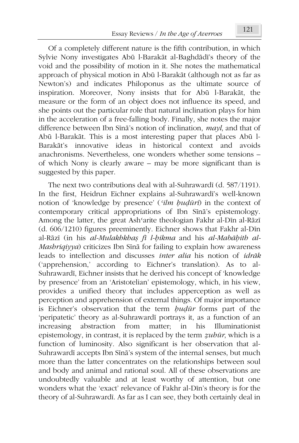Of a completely different nature is the fifth contribution, in which Sylvie Nony investigates Abū l-Barakāt al-Baghdādī's theory of the void and the possibility of motion in it. She notes the mathematical approach of physical motion in Abá l-BarakÃt (although not as far as Newton's) and indicates Philoponus as the ultimate source of inspiration. Moreover, Nony insists that for Abū l-Barakāt, the measure or the form of an object does not influence its speed, and she points out the particular role that natural inclination plays for him in the acceleration of a free-falling body. Finally, she notes the major difference between Ibn Sīnā's notion of inclination, *mayl*, and that of Abá l-BarakÃt. This is a most interesting paper that places Abá l-Barakāt's innovative ideas in historical context and avoids anachronisms. Nevertheless, one wonders whether some tensions – of which Nony is clearly aware – may be more significant than is suggested by this paper.

The next two contributions deal with al-Suhrawardī (d. 587/1191). In the first, Heidrun Eichner explains al-Suhrawardī's well-known notion of 'knowledge by presence' ('*ilm budūri*) in the context of contemporary critical appropriations of Ibn Sina's epistemology. Among the latter, the great Ash'arite theologian Fakhr al-Dīn al-Rāzī  $(d. 606/1210)$  figures preeminently. Eichner shows that Fakhr al-Din al-Rāzī (in his *al-Mulakhkha*ș fī l-bikma and his *al-Mabāḥith al-Mashriqiyya*) criticizes Ibn Sīnā for failing to explain how awareness leads to intellection and discusses *inter alia* his notion of *idrÃk*  ('apprehension,' according to Eichner's translation). As to al-Suhrawardī, Eichner insists that he derived his concept of 'knowledge by presence' from an 'Aristotelian' epistemology, which, in his view, provides a unified theory that includes apperception as well as perception and apprehension of external things. Of major importance is Eichner's observation that the term *budūr* forms part of the 'peripatetic' theory as al-Suhrawardī portrays it, as a function of an increasing abstraction from matter; in his Illuminationist epistemology, in contrast, it is replaced by the term *Ķuhár*, which is a function of luminosity. Also significant is her observation that al-Suhrawardī accepts Ibn Sīnā's system of the internal senses, but much more than the latter concentrates on the relationships between soul and body and animal and rational soul. All of these observations are undoubtedly valuable and at least worthy of attention, but one wonders what the 'exact' relevance of Fakhr al-Din's theory is for the theory of al-Suhrawardī. As far as I can see, they both certainly deal in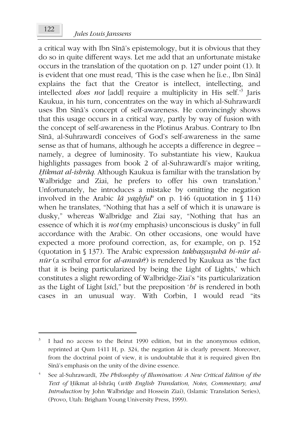a critical way with Ibn Sīnā's epistemology, but it is obvious that they do so in quite different ways. Let me add that an unfortunate mistake occurs in the translation of the quotation on p. 127 under point (1). It is evident that one must read, 'This is the case when he [i.e., Ibn Sīnā] explains the fact that the Creator is intellect, intellecting, and intellected *does not* [add] require a multiplicity in His self.'<sup>3</sup> Jaris Kaukua, in his turn, concentrates on the way in which al-Suhrawardī uses Ibn Sīnā's concept of self-awareness. He convincingly shows that this usage occurs in a critical way, partly by way of fusion with the concept of self-awareness in the Plotinus Arabus. Contrary to Ibn Sīnā, al-Suhrawardī conceives of God's self-awareness in the same sense as that of humans, although he accepts a difference in degree – namely, a degree of luminosity. To substantiate his view, Kaukua highlights passages from book 2 of al-Suhrawardī's major writing, *ěikmat al-ishrÃq*. Although Kaukua is familiar with the translation by Walbridge and Ziai, he prefers to offer his own translation.<sup>4</sup> Unfortunately, he introduces a mistake by omitting the negation involved in the Arabic  $l\bar{a}$  yaghful<sup>u</sup> on p. 146 (quotation in § 114) when he translates, "Nothing that has a self of which it is unaware is dusky," whereas Walbridge and Ziai say, "Nothing that has an essence of which it is *not* (my emphasis) unconscious is dusky" in full accordance with the Arabic. On other occasions, one would have expected a more profound correction, as, for example, on p. 152 (quotation in § 137). The Arabic expression *takhassusuha bi-nūr al* $n\bar{u}$ <sup>r</sup> (a scribal error for *al-anwār*?) is rendered by Kaukua as 'the fact that it is being particularized by being the Light of Lights,' which constitutes a slight rewording of Walbridge-Ziai's "its particularization as the Light of Light [*sic*]," but the preposition '*bi*' is rendered in both cases in an unusual way. With Corbin, I would read "its

1

<sup>3</sup> I had no access to the Beirut 1990 edition, but in the anonymous edition, reprinted at Qum 1411 H, p. 324, the negation  $l\bar{a}$  is clearly present. Moreover, from the doctrinal point of view, it is undoubtable that it is required given Ibn Sīnā's emphasis on the unity of the divine essence.

<sup>4</sup> See al-Suhrawardī, *The Philosophy of Illumination: A New Critical Edition of the* Text of Hikmat al-Ishrāq (with English Translation, Notes, Commentary, and *Introduction* by John Walbridge and Hossein Ziai), (Islamic Translation Series), (Provo, Utah: Brigham Young University Press, 1999).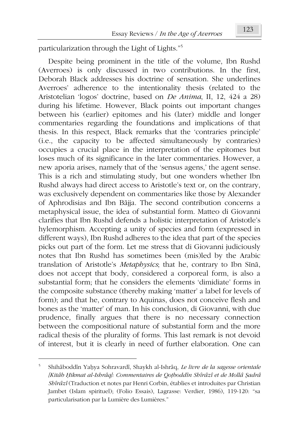particularization through the Light of Lights."<sup>5</sup>

Despite being prominent in the title of the volume, Ibn Rushd (Averroes) is only discussed in two contributions. In the first, Deborah Black addresses his doctrine of sensation. She underlines Averroes' adherence to the intentionality thesis (related to the Aristotelian 'logos' doctrine, based on *De Anima*, II, 12, 424 a 28) during his lifetime. However, Black points out important changes between his (earlier) epitomes and his (later) middle and longer commentaries regarding the foundations and implications of that thesis. In this respect, Black remarks that the 'contraries principle' (i.e., the capacity to be affected simultaneously by contraries) occupies a crucial place in the interpretation of the epitomes but loses much of its significance in the later commentaries. However, a new aporia arises, namely that of the 'sensus agens,' the agent sense. This is a rich and stimulating study, but one wonders whether Ibn Rushd always had direct access to Aristotle's text or, on the contrary, was exclusively dependent on commentaries like those by Alexander of Aphrodisias and Ibn BÃjja. The second contribution concerns a metaphysical issue, the idea of substantial form. Matteo di Giovanni clarifies that Ibn Rushd defends a holistic interpretation of Aristotle's hylemorphism. Accepting a unity of species and form (expressed in different ways), Ibn Rushd adheres to the idea that part of the species picks out part of the form. Let me stress that di Giovanni judiciously notes that Ibn Rushd has sometimes been (mis)led by the Arabic translation of Aristotle's *Metaphysics*; that he, contrary to Ibn Sīnā, does not accept that body, considered a corporeal form, is also a substantial form; that he considers the elements 'dimidiate' forms in the composite substance (thereby making 'matter' a label for levels of form); and that he, contrary to Aquinas, does not conceive flesh and bones as the 'matter' of man. In his conclusion, di Giovanni, with due prudence, finally argues that there is no necessary connection between the compositional nature of substantial form and the more radical thesis of the plurality of forms. This last remark is not devoid of interest, but it is clearly in need of further elaboration. One can

 $\overline{a}$ 

<sup>5</sup> Shihâboddîn Yaḥya Sohravardî, Shaykh al-Ishrâq, *Le livre de la sagesse orientale [Kitâb ěikmat al-Ishrâq]: Commentaires de Qoİboddîn Shîrâzî et de Mollâ ĭadrâ Shîrâzî* (Traduction et notes par Henri Corbin, établies et introduites par Christian Jambet (Islam spirituel); (Folio Essais), Lagrasse: Verdier, 1986), 119-120: "sa particularisation par la Lumière des Lumières."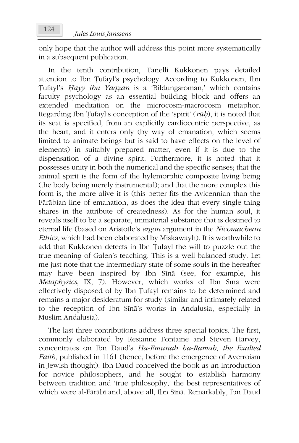only hope that the author will address this point more systematically in a subsequent publication.

In the tenth contribution, Tanelli Kukkonen pays detailed attention to Ibn Țufayl's psychology. According to Kukkonen, Ibn įufayl's *ěayy ibn YaqĶÃn* is a 'Bildungsroman,' which contains faculty psychology as an essential building block and offers an extended meditation on the microcosm-macrocosm metaphor. Regarding Ibn Țufayl's conception of the 'spirit' (*rūb*), it is noted that its seat is specified, from an explicitly cardiocentric perspective, as the heart, and it enters only (by way of emanation, which seems limited to animate beings but is said to have effects on the level of elements) in suitably prepared matter, even if it is due to the dispensation of a divine spirit. Furthermore, it is noted that it possesses unity in both the numerical and the specific senses; that the animal spirit is the form of the hylemorphic composite living being (the body being merely instrumental); and that the more complex this form is, the more alive it is (this better fits the Avicennian than the Fārābian line of emanation, as does the idea that every single thing shares in the attribute of createdness). As for the human soul, it reveals itself to be a separate, immaterial substance that is destined to eternal life (based on Aristotle's *ergon* argument in the *Nicomachean Ethics*, which had been elaborated by Miskawayh). It is worthwhile to add that Kukkonen detects in Ibn Țufayl the will to puzzle out the true meaning of Galen's teaching. This is a well-balanced study. Let me just note that the intermediary state of some souls in the hereafter may have been inspired by Ibn Sīnā (see, for example, his *Metaphysics*, IX, 7). However, which works of Ibn Sina were effectively disposed of by Ibn Tufayl remains to be determined and remains a major desideratum for study (similar and intimately related to the reception of Ibn Sīnā's works in Andalusia, especially in Muslim Andalusia).

The last three contributions address three special topics. The first, commonly elaborated by Resianne Fontaine and Steven Harvey, concentrates on Ibn Daud's *Ha-Emunah ha-Ramah*, *the Exalted Faith*, published in 1161 (hence, before the emergence of Averroism in Jewish thought). Ibn Daud conceived the book as an introduction for novice philosophers, and he sought to establish harmony between tradition and 'true philosophy,' the best representatives of which were al-Fārābī and, above all, Ibn Sīnā. Remarkably, Ibn Daud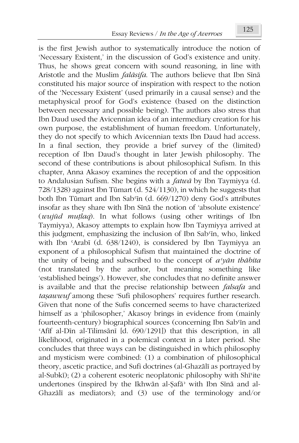is the first Jewish author to systematically introduce the notion of 'Necessary Existent,' in the discussion of God's existence and unity. Thus, he shows great concern with sound reasoning, in line with Aristotle and the Muslim *falāsifa*. The authors believe that Ibn Sīnā constituted his major source of inspiration with respect to the notion of the 'Necessary Existent' (used primarily in a causal sense) and the metaphysical proof for God's existence (based on the distinction between necessary and possible being). The authors also stress that Ibn Daud used the Avicennian idea of an intermediary creation for his own purpose, the establishment of human freedom. Unfortunately, they do not specify to which Avicennian texts Ibn Daud had access. In a final section, they provide a brief survey of the (limited) reception of Ibn Daud's thought in later Jewish philosophy. The second of these contributions is about philosophical Sufism. In this chapter, Anna Akasoy examines the reception of and the opposition to Andalusian Sufism. She begins with a *fatwÃ* by Ibn Taymiyya (d. 728/1328) against Ibn Támart (d. 524/1130), in which he suggests that both Ibn Tūmart and Ibn Sab'in (d. 669/1270) deny God's attributes insofar as they share with Ibn Sina the notion of 'absolute existence' (*wujád muİlaq*). In what follows (using other writings of Ibn Taymiyya), Akasoy attempts to explain how Ibn Taymiyya arrived at this judgment, emphasizing the inclusion of Ibn Sab'in, who, linked with Ibn 'Arabī (d. 638/1240), is considered by Ibn Taymiyya an exponent of a philosophical Sufism that maintained the doctrine of the unity of being and subscribed to the concept of  $a^{\prime}$ *y* $\bar{a}$ *n th* $\bar{a}$ *bita* (not translated by the author, but meaning something like 'established beings'). However, she concludes that no definite answer is available and that the precise relationship between *falsafa* and *taşawwuf* among these 'Sufi philosophers' requires further research. Given that none of the Sufis concerned seems to have characterized himself as a 'philosopher,' Akasoy brings in evidence from (mainly fourteenth-century) biographical sources (concerning Ibn Sab'in and 'Afif al-Dīn al-Tilimsānī  $[d. 690/1291]$ ) that this description, in all likelihood, originated in a polemical context in a later period. She concludes that three ways can be distinguished in which philosophy and mysticism were combined: (1) a combination of philosophical theory, ascetic practice, and Sufi doctrines (al-Ghazālī as portrayed by al-Subkī); (2) a coherent esoteric neoplatonic philosophy with Shīsite undertones (inspired by the Ikhwān al-Şafā<sup>,</sup> with Ibn Sīnā and al-Ghazālī as mediators); and  $(3)$  use of the terminology and/or